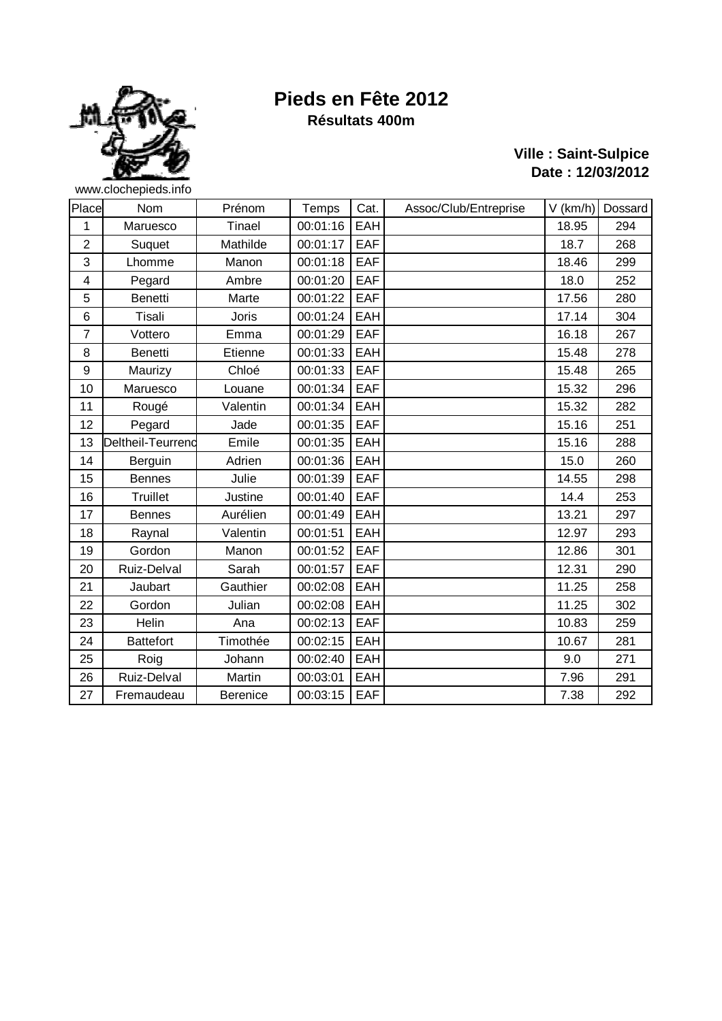

# **Pieds en Fête 2012**

**Ville : Saint-Sulpice Date : 12/03/2012**

## **Résultats 400m**

| Place                   | Nom               | Prénom          | Temps    | Cat.       | Assoc/Club/Entreprise | $V$ (km/h) | Dossard |
|-------------------------|-------------------|-----------------|----------|------------|-----------------------|------------|---------|
| $\overline{1}$          | Maruesco          | Tinael          | 00:01:16 | EAH        |                       | 18.95      | 294     |
| $\overline{2}$          | Suquet            | Mathilde        | 00:01:17 | <b>EAF</b> |                       | 18.7       | 268     |
| 3                       | Lhomme            | Manon           | 00:01:18 | EAF        |                       | 18.46      | 299     |
| $\overline{\mathbf{4}}$ | Pegard            | Ambre           | 00:01:20 | EAF        |                       | 18.0       | 252     |
| 5                       | <b>Benetti</b>    | Marte           | 00:01:22 | EAF        |                       | 17.56      | 280     |
| $6\phantom{a}$          | Tisali            | <b>Joris</b>    | 00:01:24 | EAH        |                       | 17.14      | 304     |
| $\overline{7}$          | Vottero           | Emma            | 00:01:29 | EAF        |                       | 16.18      | 267     |
| 8                       | <b>Benetti</b>    | Etienne         | 00:01:33 | EAH        |                       | 15.48      | 278     |
| 9                       | Maurizy           | Chloé           | 00:01:33 | EAF        |                       | 15.48      | 265     |
| 10                      | Maruesco          | Louane          | 00:01:34 | EAF        |                       | 15.32      | 296     |
| 11                      | Rougé             | Valentin        | 00:01:34 | EAH        |                       | 15.32      | 282     |
| 12                      | Pegard            | Jade            | 00:01:35 | EAF        |                       | 15.16      | 251     |
| 13                      | Deltheil-Teurrend | Emile           | 00:01:35 | EAH        |                       | 15.16      | 288     |
| 14                      | Berguin           | Adrien          | 00:01:36 | EAH        |                       | 15.0       | 260     |
| 15                      | <b>Bennes</b>     | Julie           | 00:01:39 | EAF        |                       | 14.55      | 298     |
| 16                      | Truillet          | Justine         | 00:01:40 | EAF        |                       | 14.4       | 253     |
| 17                      | <b>Bennes</b>     | Aurélien        | 00:01:49 | EAH        |                       | 13.21      | 297     |
| 18                      | Raynal            | Valentin        | 00:01:51 | EAH        |                       | 12.97      | 293     |
| 19                      | Gordon            | Manon           | 00:01:52 | EAF        |                       | 12.86      | 301     |
| 20                      | Ruiz-Delval       | Sarah           | 00:01:57 | EAF        |                       | 12.31      | 290     |
| 21                      | Jaubart           | Gauthier        | 00:02:08 | EAH        |                       | 11.25      | 258     |
| 22                      | Gordon            | Julian          | 00:02:08 | EAH        |                       | 11.25      | 302     |
| 23                      | Helin             | Ana             | 00:02:13 | EAF        |                       | 10.83      | 259     |
| 24                      | <b>Battefort</b>  | Timothée        | 00:02:15 | EAH        |                       | 10.67      | 281     |
| 25                      | Roig              | Johann          | 00:02:40 | EAH        |                       | 9.0        | 271     |
| 26                      | Ruiz-Delval       | Martin          | 00:03:01 | EAH        |                       | 7.96       | 291     |
| 27                      | Fremaudeau        | <b>Berenice</b> | 00:03:15 | <b>EAF</b> |                       | 7.38       | 292     |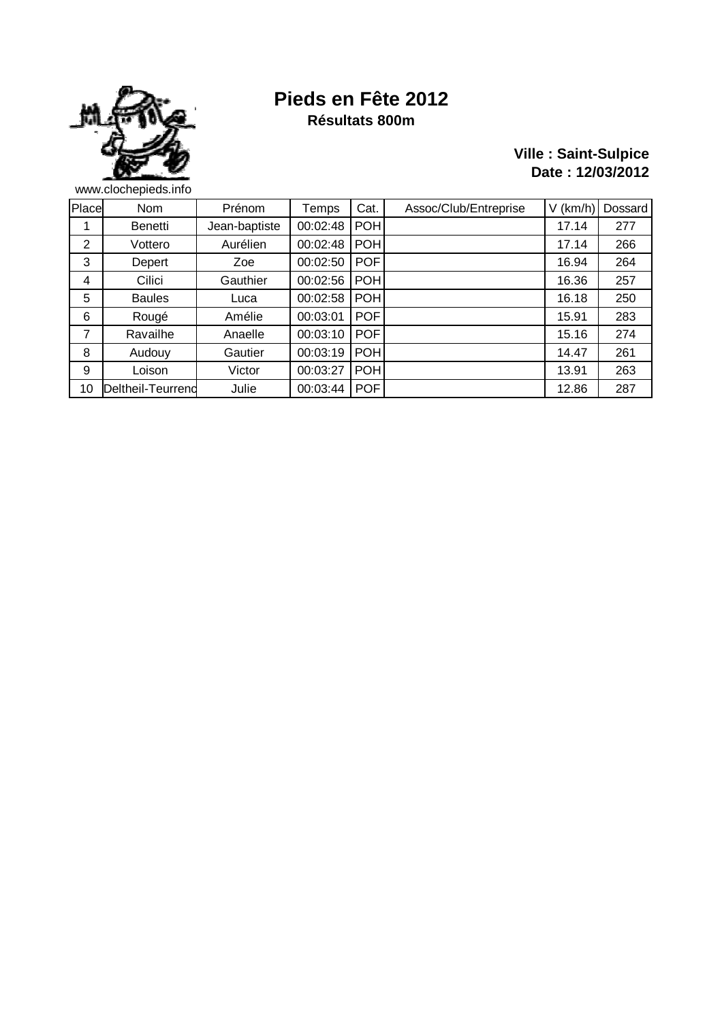

#### **Pieds en Fête 2012 Résultats 800m**

#### **Ville : Saint-Sulpice Date : 12/03/2012**

Place Nom | Prénom | Temps Cat. | Assoc/Club/Entreprise | V (km/h) | Dossard 1 Benetti Jean-baptiste 00:02:48 POH 2 | Vottero | Aurélien |00:02:48 |POH | 17.14 | 266 3 Depert | Zoe | 00:02:50 | POF | 16.94 | 264 4 | Cilici | Gauthier | 00:02:56 | POH | 16.36 | 257 5 Baules | Luca | 00:02:58 | POH | 16.18 | 250 6 Rougé | Amélie |00:03:01 | POF | 15.91 | 283 7 | Ravailhe | Anaelle | 00:03:10 | POF | 15.16 | 274 8 Audouy Gautier 00:03:19 POH 9 | Loison | Victor |00:03:27 |POH | 13.91 | 263 10 Deltheil-Teurrenc Julie 00:03:44 POF 12.86 287